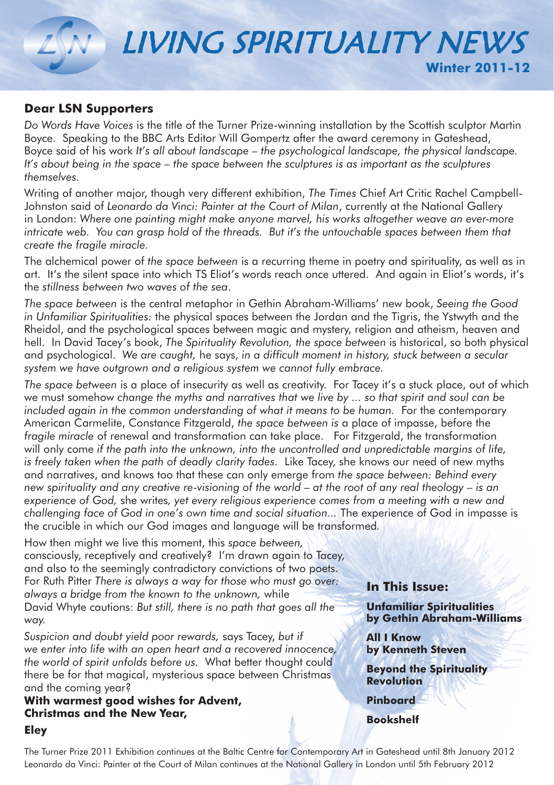# LIVING SPIRITUALITY NEWS **Winter 2011-12**

### **Dear LSN Supporters**

*Do Words Have Voices* is the title of the Turner Prize-winning installation by the Scottish sculptor Martin Boyce. Speaking to the BBC Arts Editor Will Gompertz after the award ceremony in Gateshead, Boyce said of his work *It's all about landscape – the psychological landscape, the physical landscape. It's about being in the space – the space between the sculptures is as important as the sculptures themselves.*

Writing of another major, though very different exhibition, *The Times* Chief Art Critic Rachel Campbell-Johnston said of *Leonardo da Vinci: Painter at the Court of Milan*, currently at the National Gallery in London: *Where one painting might make anyone marvel, his works altogether weave an ever-more intricate web. You can grasp hold of the threads. But it's the untouchable spaces between them that create the fragile miracle.*

The alchemical power of *the space between* is a recurring theme in poetry and spirituality, as well as in art. It's the silent space into which TS Eliot's words reach once uttered. And again in Eliot's words, it's the *stillness between two waves of the sea*.

*The space between* is the central metaphor in Gethin Abraham-Williams' new book, *Seeing the Good in Unfamiliar Spiritualities:* the physical spaces between the Jordan and the Tigris, the Ystwyth and the Rheidol, and the psychological spaces between magic and mystery, religion and atheism, heaven and hell. In David Tacey's book, *The Spirituality Revolution, the space between* is historical, so both physical and psychological. *We are caught,* he says, *in a difficult moment in history, stuck between a secular system we have outgrown and a religious system we cannot fully embrace.*

*The space between* is a place of insecurity as well as creativity. For Tacey it's a stuck place, out of which we must somehow *change the myths and narratives that we live by ... so that spirit and soul can be included again in the common understanding of what it means to be human.* For the contemporary American Carmelite, Constance Fitzgerald, *the space between is* a place of impasse, before the *fragile miracle* of renewal and transformation can take place. For Fitzgerald, the transformation will only come *if the path into the unknown, into the uncontrolled and unpredictable margins of life, is freely taken when the path of deadly clarity fades.* Like Tacey, she knows our need of new myths and narratives, and knows too that these can only emerge from *the space between: Behind every new spirituality and any creative re-visioning of the world – at the root of any real theology – is an experience of God,* she writes*, yet every religious experience comes from a meeting with a new and challenging face of God in one's own time and social situation...* The experience of God in impasse is the crucible in which our God images and language will be transformed*.* 

How then might we live this moment, this *space between,* consciously, receptively and creatively? I'm drawn again to Tacey, and also to the seemingly contradictory convictions of two poets. For Ruth Pitter *There is always a way for those who must go over: always a bridge from the known to the unknown,* while David Whyte cautions: *But still, there is no path that goes all the way.* 

*Suspicion and doubt yield poor rewards,* says Tacey, *but if we enter into life with an open heart and a recovered innocence, the world of spirit unfolds before us.* What better thought could there be for that magical, mysterious space between Christmas and the coming year?

**With warmest good wishes for Advent, Christmas and the New Year, Eley**

**In This Issue:**

**Unfamiliar Spiritualities by Gethin Abraham-Williams**

**All I Know by Kenneth Steven**

**Beyond the Spirituality Revolution** 

**Pinboard**

**Bookshelf**

The Turner Prize 2011 Exhibition continues at the Baltic Centre for Contemporary Art in Gateshead until 8th January 2012 Leonardo da Vinci: Painter at the Court of Milan continues at the National Gallery in London until 5th February 2012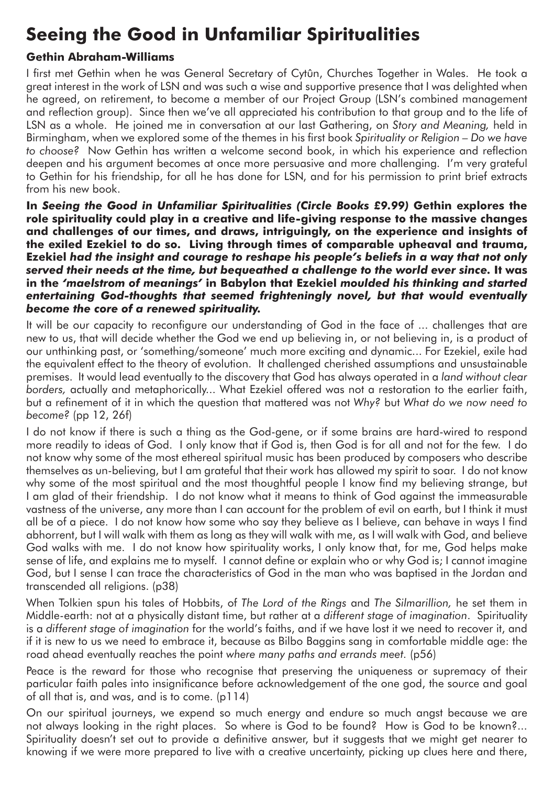# **Seeing the Good in Unfamiliar Spiritualities**

#### **Gethin Abraham-Williams**

I first met Gethin when he was General Secretary of Cytûn, Churches Together in Wales. He took a great interest in the work of LSN and was such a wise and supportive presence that I was delighted when he agreed, on retirement, to become a member of our Project Group (LSN's combined management and reflection group). Since then we've all appreciated his contribution to that group and to the life of LSN as a whole. He joined me in conversation at our last Gathering, on *Story and Meaning,* held in Birmingham, when we explored some of the themes in his first book *Spirituality or Religion – Do we have to choose?* Now Gethin has written a welcome second book, in which his experience and reflection deepen and his argument becomes at once more persuasive and more challenging. I'm very grateful to Gethin for his friendship, for all he has done for LSN, and for his permission to print brief extracts from his new book.

**In** *Seeing the Good in Unfamiliar Spiritualities (Circle Books £9.99)* **Gethin explores the role spirituality could play in a creative and life-giving response to the massive changes and challenges of our times, and draws, intriguingly, on the experience and insights of the exiled Ezekiel to do so. Living through times of comparable upheaval and trauma, Ezekiel** *had the insight and courage to reshape his people's beliefs in a way that not only served their needs at the time, but bequeathed a challenge to the world ever since.* **It was in the** *'maelstrom of meanings'* **in Babylon that Ezekiel** *moulded his thinking and started entertaining God-thoughts that seemed frighteningly novel, but that would eventually become the core of a renewed spirituality.*

It will be our capacity to reconfigure our understanding of God in the face of ... challenges that are new to us, that will decide whether the God we end up believing in, or not believing in, is a product of our unthinking past, or 'something/someone' much more exciting and dynamic... For Ezekiel, exile had the equivalent effect to the theory of evolution. It challenged cherished assumptions and unsustainable premises. It would lead eventually to the discovery that God has always operated in a *land without clear borders,* actually and metaphorically... What Ezekiel offered was not a restoration to the earlier faith, but a refinement of it in which the question that mattered was not *Why?* but *What do we now need to become?* (pp 12, 26f)

I do not know if there is such a thing as the God-gene, or if some brains are hard-wired to respond more readily to ideas of God. I only know that if God is, then God is for all and not for the few. I do not know why some of the most ethereal spiritual music has been produced by composers who describe themselves as un-believing, but I am grateful that their work has allowed my spirit to soar. I do not know why some of the most spiritual and the most thoughtful people I know find my believing strange, but I am glad of their friendship. I do not know what it means to think of God against the immeasurable vastness of the universe, any more than I can account for the problem of evil on earth, but I think it must all be of a piece. I do not know how some who say they believe as I believe, can behave in ways I find abhorrent, but I will walk with them as long as they will walk with me, as I will walk with God, and believe God walks with me. I do not know how spirituality works, I only know that, for me, God helps make sense of life, and explains me to myself. I cannot define or explain who or why God is; I cannot imagine God, but I sense I can trace the characteristics of God in the man who was baptised in the Jordan and transcended all religions. (p38)

When Tolkien spun his tales of Hobbits, of *The Lord of the Rings* and *The Silmarillion,* he set them in Middle-earth: not at a physically distant time, but rather at a *different stage of imagination*. Spirituality is a *different stage of imagination* for the world's faiths, and if we have lost it we need to recover it, and if it is new to us we need to embrace it, because as Bilbo Baggins sang in comfortable middle age: the road ahead eventually reaches the point *where many paths and errands meet.* (p56)

Peace is the reward for those who recognise that preserving the uniqueness or supremacy of their particular faith pales into insignificance before acknowledgement of the one god, the source and goal of all that is, and was, and is to come. (p114)

On our spiritual journeys, we expend so much energy and endure so much angst because we are not always looking in the right places. So where is God to be found? How is God to be known?... Spirituality doesn't set out to provide a definitive answer, but it suggests that we might get nearer to knowing if we were more prepared to live with a creative uncertainty, picking up clues here and there,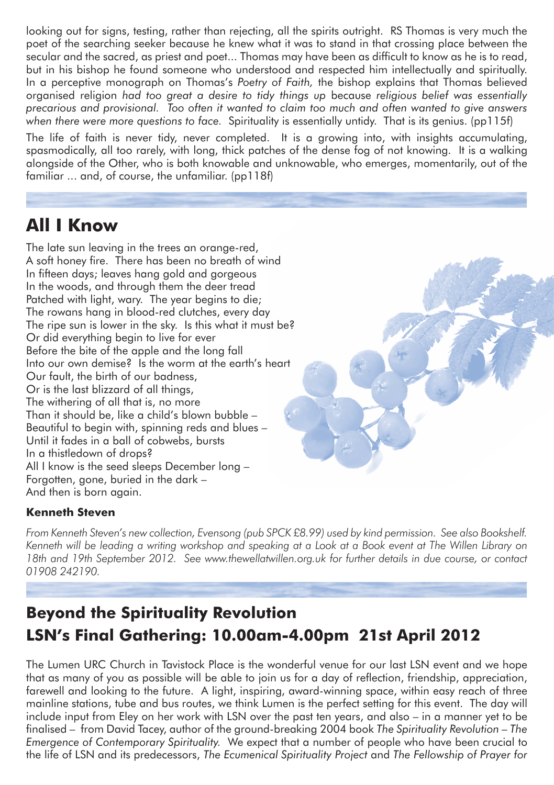looking out for signs, testing, rather than rejecting, all the spirits outright. RS Thomas is very much the poet of the searching seeker because he knew what it was to stand in that crossing place between the secular and the sacred, as priest and poet... Thomas may have been as difficult to know as he is to read, but in his bishop he found someone who understood and respected him intellectually and spiritually. In a perceptive monograph on Thomas's *Poetry of Faith,* the bishop explains that Thomas believed organised religion *had too great a desire to tidy things up* because *religious belief was essentially precarious and provisional. Too often it wanted to claim too much and often wanted to give answers when there were more questions to face.* Spirituality is essentially untidy. That is its genius. (pp115f)

The life of faith is never tidy, never completed. It is a growing into, with insights accumulating, spasmodically, all too rarely, with long, thick patches of the dense fog of not knowing. It is a walking alongside of the Other, who is both knowable and unknowable, who emerges, momentarily, out of the familiar ... and, of course, the unfamiliar. (pp118f)

## **All I Know**

The late sun leaving in the trees an orange-red, A soft honey fire. There has been no breath of wind In fifteen days; leaves hang gold and gorgeous In the woods, and through them the deer tread Patched with light, wary. The year begins to die; The rowans hang in blood-red clutches, every day The ripe sun is lower in the sky. Is this what it must be? Or did everything begin to live for ever Before the bite of the apple and the long fall Into our own demise? Is the worm at the earth's heart Our fault, the birth of our badness, Or is the last blizzard of all things, The withering of all that is, no more Than it should be, like a child's blown bubble – Beautiful to begin with, spinning reds and blues – Until it fades in a ball of cobwebs, bursts In a thistledown of drops? All I know is the seed sleeps December long – Forgotten, gone, buried in the dark – And then is born again.

### **Kenneth Steven**

*From Kenneth Steven's new collection, Evensong (pub SPCK £8.99) used by kind permission. See also Bookshelf. Kenneth will be leading a writing workshop and speaking at a Look at a Book event at The Willen Library on 18th and 19th September 2012. See www.thewellatwillen.org.uk for further details in due course, or contact 01908 242190.*

## **Beyond the Spirituality Revolution LSN's Final Gathering: 10.00am-4.00pm 21st April 2012**

The Lumen URC Church in Tavistock Place is the wonderful venue for our last LSN event and we hope that as many of you as possible will be able to join us for a day of reflection, friendship, appreciation, farewell and looking to the future. A light, inspiring, award-winning space, within easy reach of three mainline stations, tube and bus routes, we think Lumen is the perfect setting for this event. The day will include input from Eley on her work with LSN over the past ten years, and also – in a manner yet to be finalised – from David Tacey, author of the ground-breaking 2004 book *The Spirituality Revolution – The Emergence of Contemporary Spirituality.* We expect that a number of people who have been crucial to the life of LSN and its predecessors, *The Ecumenical Spirituality Project* and *The Fellowship of Prayer for*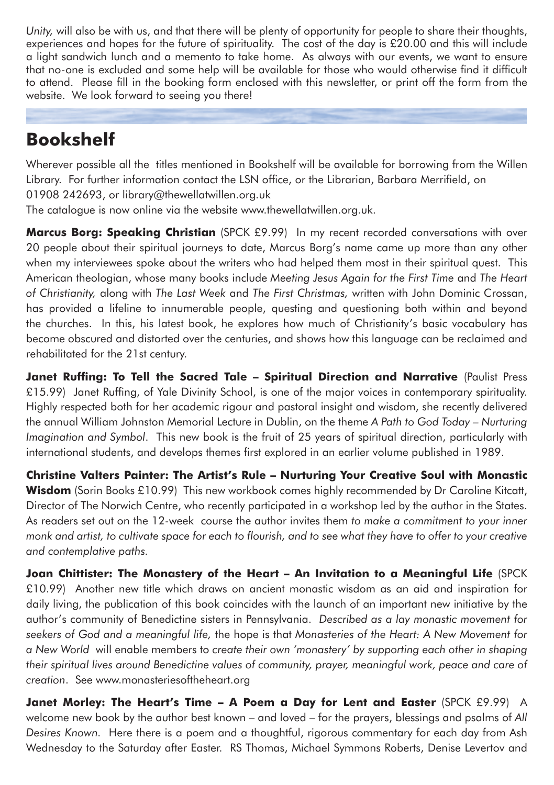*Unity,* will also be with us, and that there will be plenty of opportunity for people to share their thoughts, experiences and hopes for the future of spirituality. The cost of the day is £20.00 and this will include a light sandwich lunch and a memento to take home. As always with our events, we want to ensure that no-one is excluded and some help will be available for those who would otherwise find it difficult to attend. Please fill in the booking form enclosed with this newsletter, or print off the form from the website. We look forward to seeing you there!

## **Bookshelf**

Wherever possible all the titles mentioned in Bookshelf will be available for borrowing from the Willen Library. For further information contact the LSN office, or the Librarian, Barbara Merrifield, on 01908 242693, or library@thewellatwillen.org.uk

The catalogue is now online via the website www.thewellatwillen.org.uk.

**Marcus Borg: Speaking Christian** (SPCK £9.99) In my recent recorded conversations with over 20 people about their spiritual journeys to date, Marcus Borg's name came up more than any other when my interviewees spoke about the writers who had helped them most in their spiritual quest. This American theologian, whose many books include *Meeting Jesus Again for the First Time* and *The Heart of Christianity,* along with *The Last Week* and *The First Christmas,* written with John Dominic Crossan, has provided a lifeline to innumerable people, questing and questioning both within and beyond the churches. In this, his latest book, he explores how much of Christianity's basic vocabulary has become obscured and distorted over the centuries, and shows how this language can be reclaimed and rehabilitated for the 21st century.

Janet Ruffing: To Tell the Sacred Tale - Spiritual Direction and Narrative (Paulist Press £15.99) Janet Ruffing, of Yale Divinity School, is one of the major voices in contemporary spirituality. Highly respected both for her academic rigour and pastoral insight and wisdom, she recently delivered the annual William Johnston Memorial Lecture in Dublin, on the theme *A Path to God Today – Nurturing Imagination and Symbol*. This new book is the fruit of 25 years of spiritual direction, particularly with international students, and develops themes first explored in an earlier volume published in 1989.

**Christine Valters Painter: The Artist's Rule – Nurturing Your Creative Soul with Monastic Wisdom** (Sorin Books £10.99) This new workbook comes highly recommended by Dr Caroline Kitcatt, Director of The Norwich Centre, who recently participated in a workshop led by the author in the States. As readers set out on the 12-week course the author invites them *to make a commitment to your inner monk and artist, to cultivate space for each to flourish, and to see what they have to offer to your creative and contemplative paths.*

**Joan Chittister: The Monastery of the Heart – An Invitation to a Meaningful Life** (SPCK £10.99) Another new title which draws on ancient monastic wisdom as an aid and inspiration for daily living, the publication of this book coincides with the launch of an important new initiative by the author's community of Benedictine sisters in Pennsylvania. *Described as a lay monastic movement for seekers of God and a meaningful life,* the hope is that *Monasteries of the Heart: A New Movement for a New World* will enable members to *create their own 'monastery' by supporting each other in shaping their spiritual lives around Benedictine values of community, prayer, meaningful work, peace and care of creation*. See www.monasteriesoftheheart.org

**Janet Morley: The Heart's Time – A Poem a Day for Lent and Easter** (SPCK £9.99) A welcome new book by the author best known – and loved – for the prayers, blessings and psalms of *All Desires Known.* Here there is a poem and a thoughtful, rigorous commentary for each day from Ash Wednesday to the Saturday after Easter. RS Thomas, Michael Symmons Roberts, Denise Levertov and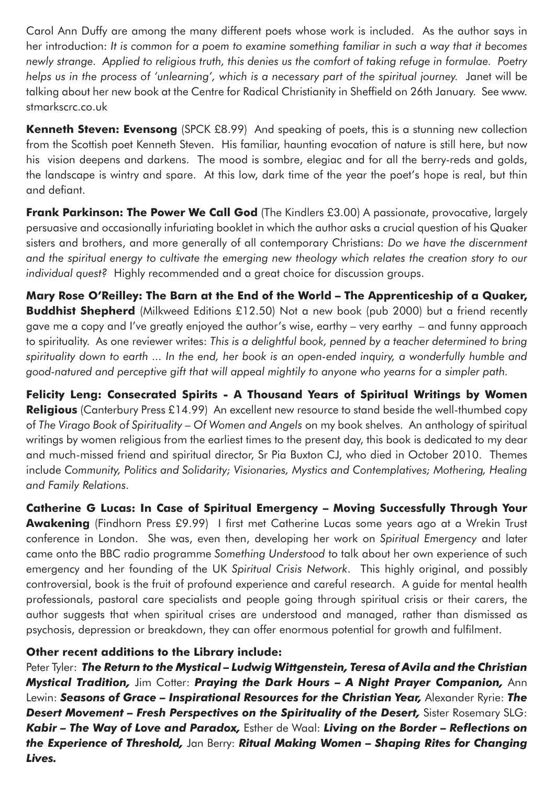Carol Ann Duffy are among the many different poets whose work is included. As the author says in her introduction: *It is common for a poem to examine something familiar in such a way that it becomes newly strange. Applied to religious truth, this denies us the comfort of taking refuge in formulae. Poetry helps us in the process of 'unlearning', which is a necessary part of the spiritual journey.* Janet will be talking about her new book at the Centre for Radical Christianity in Sheffield on 26th January. See www. stmarkscrc.co.uk

**Kenneth Steven: Evensong** (SPCK £8.99) And speaking of poets, this is a stunning new collection from the Scottish poet Kenneth Steven. His familiar, haunting evocation of nature is still here, but now his vision deepens and darkens. The mood is sombre, elegiac and for all the berry-reds and golds, the landscape is wintry and spare. At this low, dark time of the year the poet's hope is real, but thin and defiant.

**Frank Parkinson: The Power We Call God** (The Kindlers £3.00) A passionate, provocative, largely persuasive and occasionally infuriating booklet in which the author asks a crucial question of his Quaker sisters and brothers, and more generally of all contemporary Christians: *Do we have the discernment and the spiritual energy to cultivate the emerging new theology which relates the creation story to our individual quest?* Highly recommended and a great choice for discussion groups.

**Mary Rose O'Reilley: The Barn at the End of the World – The Apprenticeship of a Quaker, Buddhist Shepherd** (Milkweed Editions £12.50) Not a new book (pub 2000) but a friend recently gave me a copy and I've greatly enjoyed the author's wise, earthy – very earthy – and funny approach to spirituality. As one reviewer writes: *This is a delightful book, penned by a teacher determined to bring spirituality down to earth ... In the end, her book is an open-ended inquiry, a wonderfully humble and good-natured and perceptive gift that will appeal mightily to anyone who yearns for a simpler path.*

**Felicity Leng: Consecrated Spirits - A Thousand Years of Spiritual Writings by Women Religious** (Canterbury Press £14.99) An excellent new resource to stand beside the well-thumbed copy of *The Virago Book of Spirituality – Of Women and Angels* on my book shelves. An anthology of spiritual writings by women religious from the earliest times to the present day, this book is dedicated to my dear and much-missed friend and spiritual director, Sr Pia Buxton CJ, who died in October 2010. Themes include *Community, Politics and Solidarity; Visionaries, Mystics and Contemplatives; Mothering, Healing and Family Relations.* 

**Catherine G Lucas: In Case of Spiritual Emergency – Moving Successfully Through Your Awakening** (Findhorn Press £9.99) I first met Catherine Lucas some years ago at a Wrekin Trust conference in London. She was, even then, developing her work on *Spiritual Emergency* and later came onto the BBC radio programme *Something Understood* to talk about her own experience of such emergency and her founding of the UK *Spiritual Crisis Network*. This highly original, and possibly controversial, book is the fruit of profound experience and careful research. A guide for mental health professionals, pastoral care specialists and people going through spiritual crisis or their carers, the author suggests that when spiritual crises are understood and managed, rather than dismissed as psychosis, depression or breakdown, they can offer enormous potential for growth and fulfilment.

### **Other recent additions to the Library include:**

Peter Tyler: *The Return to the Mystical – Ludwig Wittgenstein, Teresa of Avila and the Christian Mystical Tradition,* Jim Cotter: *Praying the Dark Hours – A Night Prayer Companion,* Ann Lewin: *Seasons of Grace – Inspirational Resources for the Christian Year,* Alexander Ryrie: *The*  **Desert Movement - Fresh Perspectives on the Spirituality of the Desert, Sister Rosemary SLG:** *Kabir – The Way of Love and Paradox,* Esther de Waal: *Living on the Border – Reflections on the Experience of Threshold,* Jan Berry: *Ritual Making Women – Shaping Rites for Changing Lives.*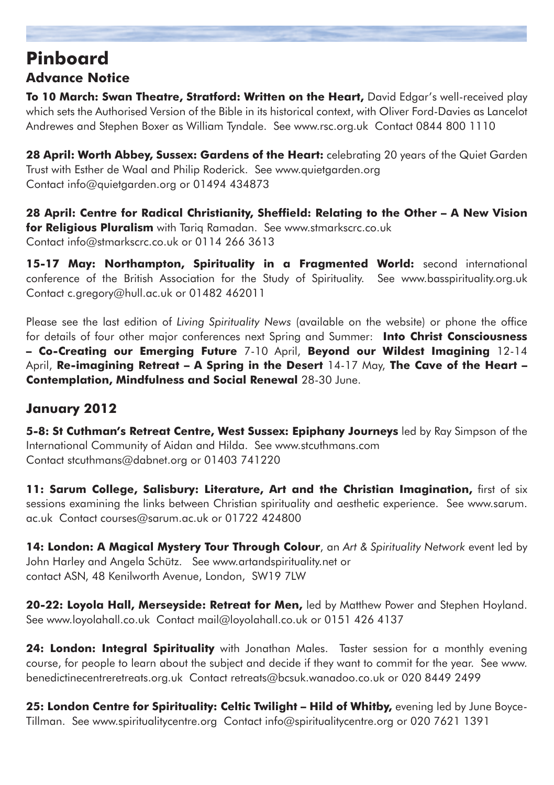# **Pinboard**

### **Advance Notice**

**To 10 March: Swan Theatre, Stratford: Written on the Heart,** David Edgar's well-received play which sets the Authorised Version of the Bible in its historical context, with Oliver Ford-Davies as Lancelot Andrewes and Stephen Boxer as William Tyndale. See www.rsc.org.uk Contact 0844 800 1110

28 April: Worth Abbey, Sussex: Gardens of the Heart: celebrating 20 years of the Quiet Garden Trust with Esther de Waal and Philip Roderick. See www.quietgarden.org Contact info@quietgarden.org or 01494 434873

**28 April: Centre for Radical Christianity, Sheffield: Relating to the Other – A New Vision for Religious Pluralism** with Tariq Ramadan. See www.stmarkscrc.co.uk Contact info@stmarkscrc.co.uk or 0114 266 3613

**15-17 May: Northampton, Spirituality in a Fragmented World:** second international conference of the British Association for the Study of Spirituality. See www.basspirituality.org.uk Contact c.gregory@hull.ac.uk or 01482 462011

Please see the last edition of *Living Spirituality News* (available on the website) or phone the office for details of four other major conferences next Spring and Summer: **Into Christ Consciousness – Co-Creating our Emerging Future** 7-10 April, **Beyond our Wildest Imagining** 12-14 April, **Re-imagining Retreat – A Spring in the Desert** 14-17 May, **The Cave of the Heart – Contemplation, Mindfulness and Social Renewal** 28-30 June.

### **January 2012**

**5-8: St Cuthman's Retreat Centre, West Sussex: Epiphany Journeys** led by Ray Simpson of the International Community of Aidan and Hilda. See www.stcuthmans.com Contact stcuthmans@dabnet.org or 01403 741220

**11: Sarum College, Salisbury: Literature, Art and the Christian Imagination,** first of six sessions examining the links between Christian spirituality and aesthetic experience. See www.sarum. ac.uk Contact courses@sarum.ac.uk or 01722 424800

**14: London: A Magical Mystery Tour Through Colour**, an *Art & Spirituality Network* event led by John Harley and Angela Schütz. See www.artandspirituality.net or contact ASN, 48 Kenilworth Avenue, London, SW19 7LW

**20-22: Loyola Hall, Merseyside: Retreat for Men,** led by Matthew Power and Stephen Hoyland. See www.loyolahall.co.uk Contact mail@loyolahall.co.uk or 0151 426 4137

**24: London: Integral Spirituality** with Jonathan Males. Taster session for a monthly evening course, for people to learn about the subject and decide if they want to commit for the year. See www. benedictinecentreretreats.org.uk Contact retreats@bcsuk.wanadoo.co.uk or 020 8449 2499

25: London Centre for Spirituality: Celtic Twilight - Hild of Whitby, evening led by June Boyce-Tillman. See www.spiritualitycentre.org Contact info@spiritualitycentre.org or 020 7621 1391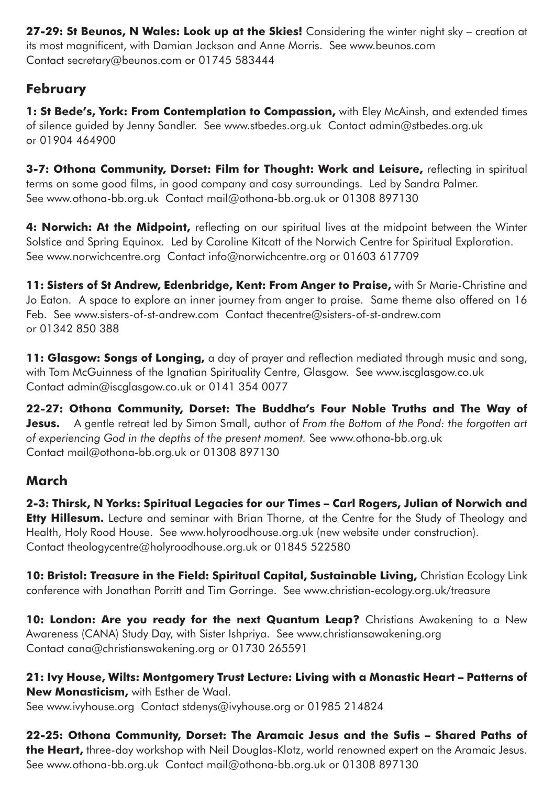**27-29: St Beunos, N Wales: Look up at the Skies!** Considering the winter night sky – creation at its most magnificent, with Damian Jackson and Anne Morris. See www.beunos.com Contact secretary@beunos.com or 01745 583444

### **February**

**1: St Bede's, York: From Contemplation to Compassion,** with Eley McAinsh, and extended times of silence guided by Jenny Sandler. See www.stbedes.org.uk Contact admin@stbedes.org.uk or 01904 464900

3-7: Othona Community, Dorset: Film for Thought: Work and Leisure, reflecting in spiritual terms on some good films, in good company and cosy surroundings. Led by Sandra Palmer. See www.othona-bb.org.uk Contact mail@othona-bb.org.uk or 01308 897130

**4: Norwich: At the Midpoint,** reflecting on our spiritual lives at the midpoint between the Winter Solstice and Spring Equinox. Led by Caroline Kitcatt of the Norwich Centre for Spiritual Exploration. See www.norwichcentre.org Contact info@norwichcentre.org or 01603 617709

**11: Sisters of St Andrew, Edenbridge, Kent: From Anger to Praise,** with Sr Marie-Christine and Jo Eaton. A space to explore an inner journey from anger to praise. Same theme also offered on 16 Feb. See www.sisters-of-st-andrew.com Contact thecentre@sisters-of-st-andrew.com or 01342 850 388

**11: Glasgow: Songs of Longing,** a day of prayer and reflection mediated through music and song, with Tom McGuinness of the Ignatian Spirituality Centre, Glasgow. See www.iscglasgow.co.uk Contact admin@iscglasgow.co.uk or 0141 354 0077

**22-27: Othona Community, Dorset: The Buddha's Four Noble Truths and The Way of Jesus.** A gentle retreat led by Simon Small, author of *From the Bottom of the Pond: the forgotten art of experiencing God in the depths of the present moment.* See www.othona-bb.org.uk Contact mail@othona-bb.org.uk or 01308 897130

### **March**

**2-3: Thirsk, N Yorks: Spiritual Legacies for our Times – Carl Rogers, Julian of Norwich and Etty Hillesum.** Lecture and seminar with Brian Thorne, at the Centre for the Study of Theology and Health, Holy Rood House. See www.holyroodhouse.org.uk (new website under construction). Contact theologycentre@holyroodhouse.org.uk or 01845 522580

10: Bristol: Treasure in the Field: Spiritual Capital, Sustainable Living, Christian Ecology Link conference with Jonathan Porritt and Tim Gorringe. See www.christian-ecology.org.uk/treasure

**10: London: Are you ready for the next Quantum Leap?** Christians Awakening to a New Awareness (CANA) Study Day, with Sister Ishpriya. See www.christiansawakening.org Contact cana@christianswakening.org or 01730 265591

**21: Ivy House, Wilts: Montgomery Trust Lecture: Living with a Monastic Heart – Patterns of New Monasticism,** with Esther de Waal. See www.ivyhouse.org Contact stdenys@ivyhouse.org or 01985 214824

**22-25: Othona Community, Dorset: The Aramaic Jesus and the Sufis – Shared Paths of the Heart,** three-day workshop with Neil Douglas-Klotz, world renowned expert on the Aramaic Jesus. See www.othona-bb.org.uk Contact mail@othona-bb.org.uk or 01308 897130